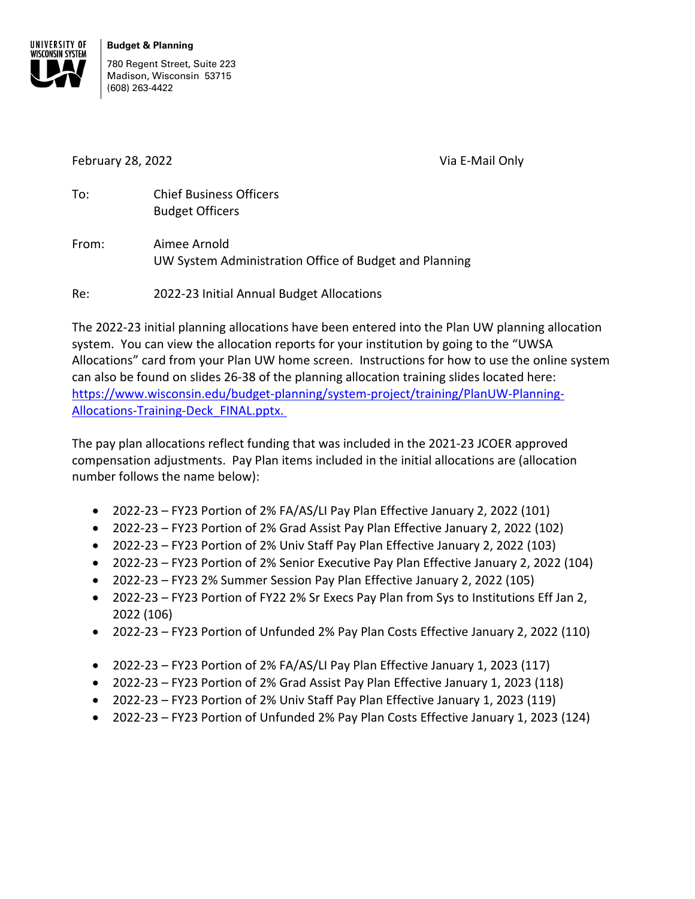

780 Regent Street, Suite 223 Madison, Wisconsin 53715 (608) 263-4422

February 28, 2022 Via E-Mail Only

To: Chief Business Officers Budget Officers

From: Aimee Arnold UW System Administration Office of Budget and Planning

Re: 2022-23 Initial Annual Budget Allocations

The 2022-23 initial planning allocations have been entered into the Plan UW planning allocation system. You can view the allocation reports for your institution by going to the "UWSA Allocations" card from your Plan UW home screen. Instructions for how to use the online system can also be found on slides 26-38 of the planning allocation training slides located here: [https://www.wisconsin.edu/budget-planning/system-project/training/PlanUW-Planning-](https://www.wisconsin.edu/budget-planning/system-project/training/PlanUW-Planning-Allocations-Training-Deck_FINAL.pptx.)[Allocations-Training-Deck\\_FINAL.pptx.](https://www.wisconsin.edu/budget-planning/system-project/training/PlanUW-Planning-Allocations-Training-Deck_FINAL.pptx.) 

The pay plan allocations reflect funding that was included in the 2021-23 JCOER approved compensation adjustments. Pay Plan items included in the initial allocations are (allocation number follows the name below):

- 2022-23 FY23 Portion of 2% FA/AS/LI Pay Plan Effective January 2, 2022 (101)
- 2022-23 FY23 Portion of 2% Grad Assist Pay Plan Effective January 2, 2022 (102)
- 2022-23 FY23 Portion of 2% Univ Staff Pay Plan Effective January 2, 2022 (103)
- 2022-23 FY23 Portion of 2% Senior Executive Pay Plan Effective January 2, 2022 (104)
- 2022-23 FY23 2% Summer Session Pay Plan Effective January 2, 2022 (105)
- 2022-23 FY23 Portion of FY22 2% Sr Execs Pay Plan from Sys to Institutions Eff Jan 2, 2022 (106)
- 2022-23 FY23 Portion of Unfunded 2% Pay Plan Costs Effective January 2, 2022 (110)
- 2022-23 FY23 Portion of 2% FA/AS/LI Pay Plan Effective January 1, 2023 (117)
- 2022-23 FY23 Portion of 2% Grad Assist Pay Plan Effective January 1, 2023 (118)
- 2022-23 FY23 Portion of 2% Univ Staff Pay Plan Effective January 1, 2023 (119)
- 2022-23 FY23 Portion of Unfunded 2% Pay Plan Costs Effective January 1, 2023 (124)